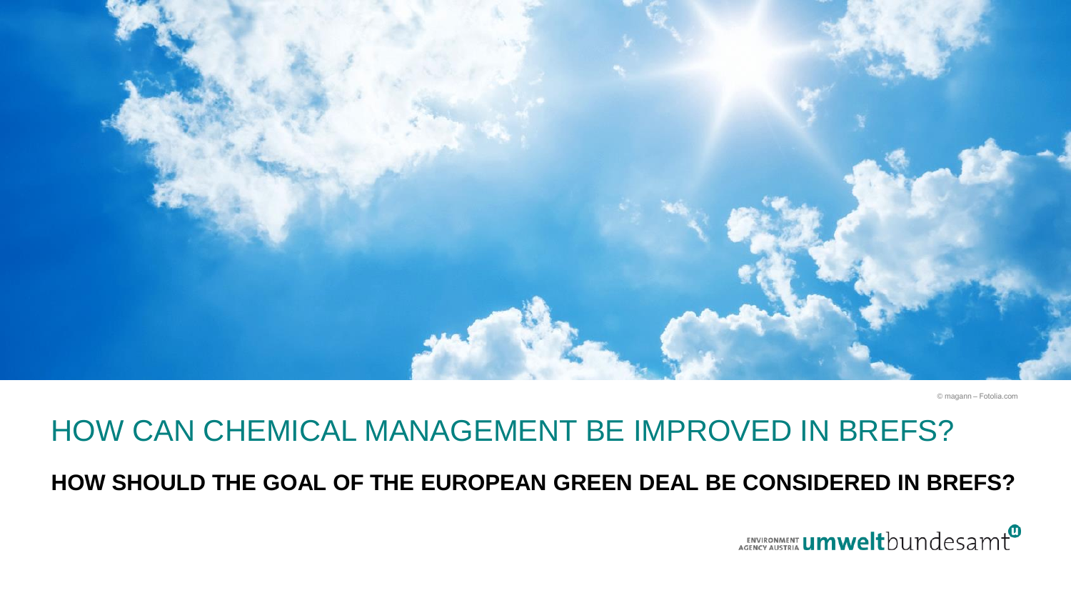

© magann ‒ Fotolia.com

### HOW CAN CHEMICAL MANAGEMENT BE IMPROVED IN BREFS?

#### **HOW SHOULD THE GOAL OF THE EUROPEAN GREEN DEAL BE CONSIDERED IN BREFS?**

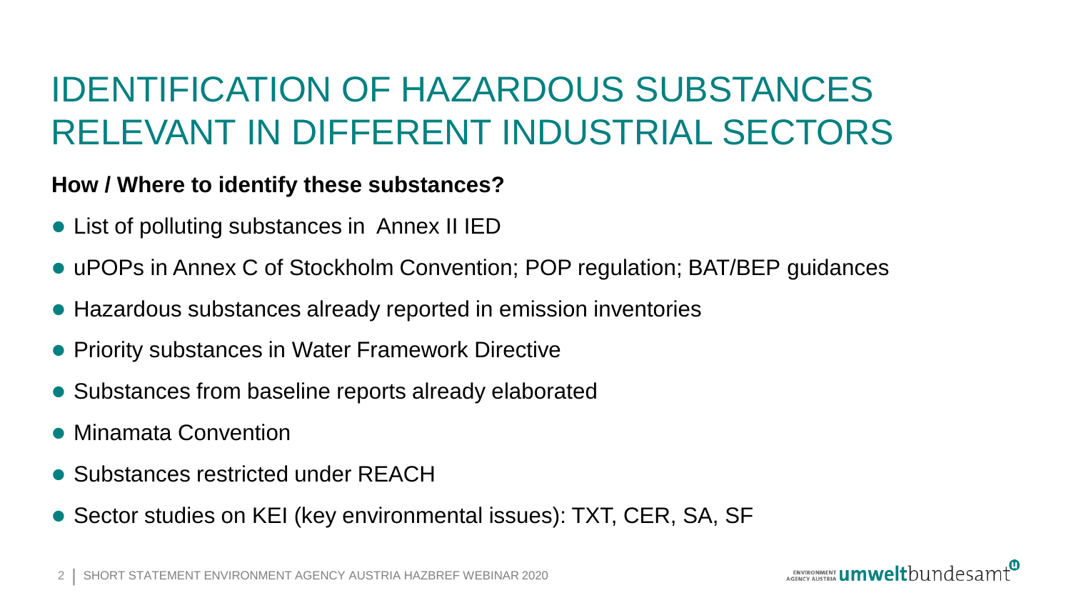### IDENTIFICATION OF HAZARDOUS SUBSTANCES RELEVANT IN DIFFERENT INDUSTRIAL SECTORS

### **How / Where to identify these substances?**

- ⚫ List of polluting substances in Annex II IED
- uPOPs in Annex C of Stockholm Convention; POP regulation; BAT/BEP guidances
- Hazardous substances already reported in emission inventories
- Priority substances in Water Framework Directive
- Substances from baseline reports already elaborated
- ⚫ Minamata Convention
- Substances restricted under REACH
- Sector studies on KEI (key environmental issues): TXT, CER, SA, SF

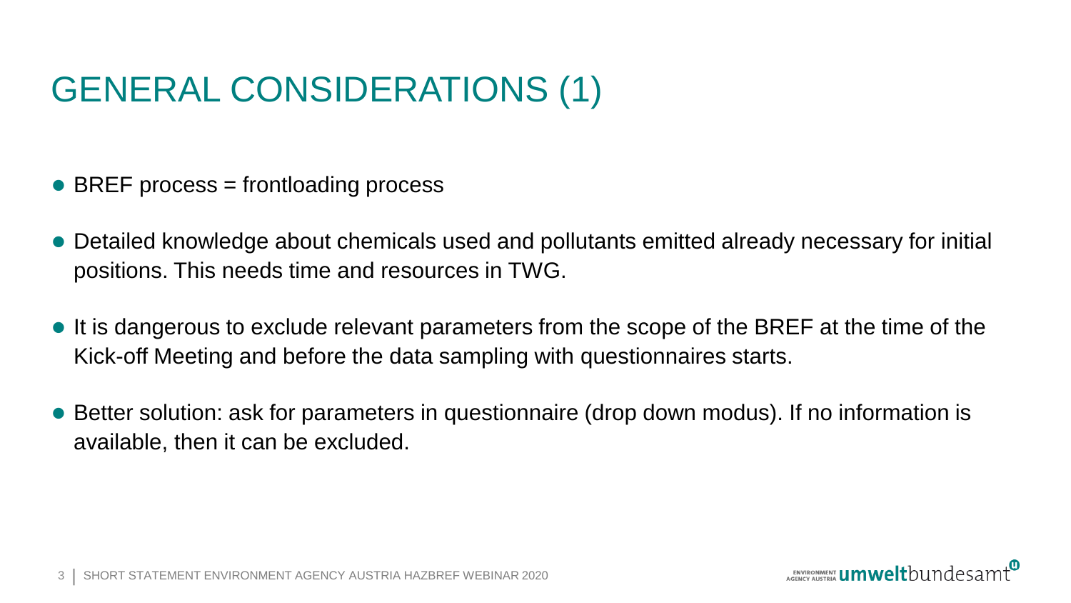# GENERAL CONSIDERATIONS (1)

- BREF process = frontloading process
- ⚫ Detailed knowledge about chemicals used and pollutants emitted already necessary for initial positions. This needs time and resources in TWG.
- ⚫ It is dangerous to exclude relevant parameters from the scope of the BREF at the time of the Kick-off Meeting and before the data sampling with questionnaires starts.
- Better solution: ask for parameters in questionnaire (drop down modus). If no information is available, then it can be excluded.

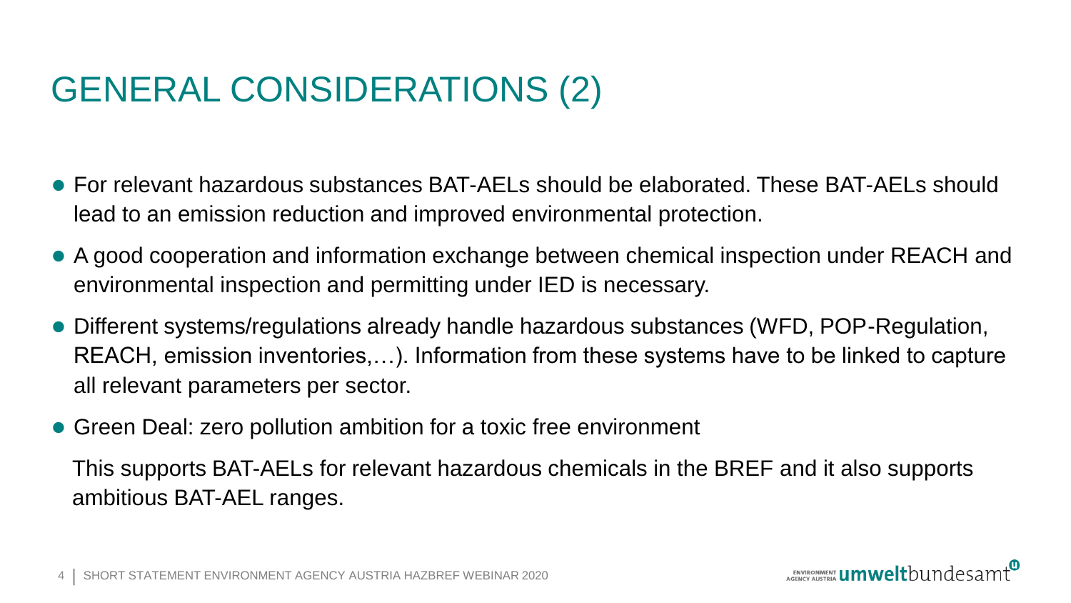# GENERAL CONSIDERATIONS (2)

- For relevant hazardous substances BAT-AELs should be elaborated. These BAT-AFLs should lead to an emission reduction and improved environmental protection.
- ⚫ A good cooperation and information exchange between chemical inspection under REACH and environmental inspection and permitting under IED is necessary.
- ⚫ Different systems/regulations already handle hazardous substances (WFD, POP-Regulation, REACH, emission inventories,…). Information from these systems have to be linked to capture all relevant parameters per sector.
- Green Deal: zero pollution ambition for a toxic free environment

This supports BAT-AELs for relevant hazardous chemicals in the BREF and it also supports ambitious BAT-AEL ranges.